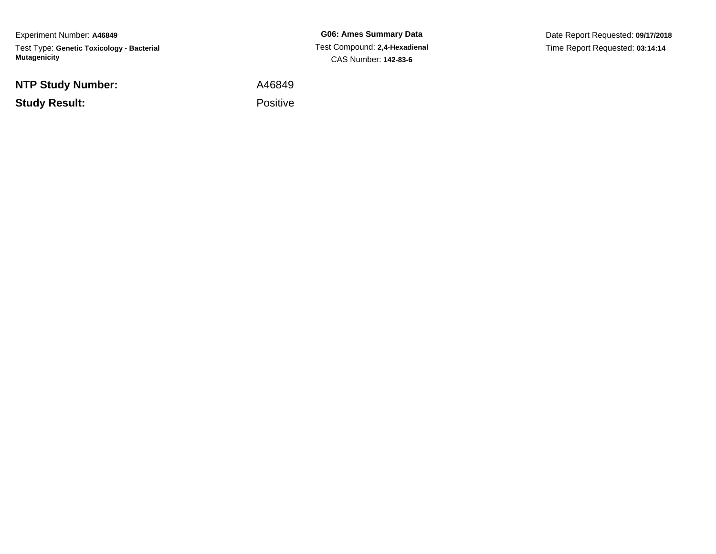Experiment Number: **A46849**Test Type: **Genetic Toxicology - Bacterial Mutagenicity**

**NTP Study Number:**

**Study Result:**

**G06: Ames Summary Data** Test Compound: **2,4-Hexadienal**CAS Number: **142-83-6**

Date Report Requested: **09/17/2018**Time Report Requested: **03:14:14**

 A46849Positive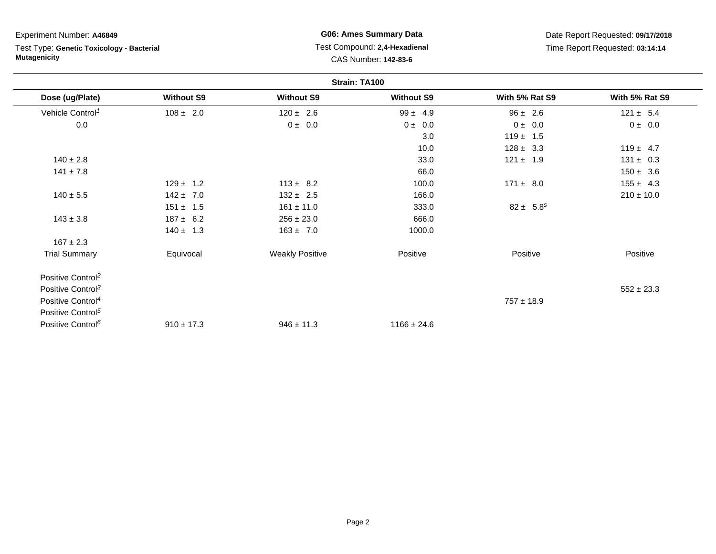# Test Type: **Genetic Toxicology - Bacterial Mutagenicity**

## **G06: Ames Summary Data** Test Compound: **2,4-Hexadienal** CAS Number: **142-83-6**

| Strain: TA100                 |                   |                        |                   |                |                |
|-------------------------------|-------------------|------------------------|-------------------|----------------|----------------|
| Dose (ug/Plate)               | <b>Without S9</b> | <b>Without S9</b>      | <b>Without S9</b> | With 5% Rat S9 | With 5% Rat S9 |
| Vehicle Control <sup>1</sup>  | $108 \pm 2.0$     | $120 \pm 2.6$          | $99 \pm 4.9$      | $96 \pm 2.6$   | $121 \pm 5.4$  |
| 0.0                           |                   | $0 \pm 0.0$            | $0 \pm 0.0$       | 0 ± 0.0        | $0 \pm 0.0$    |
|                               |                   |                        | 3.0               | $119 \pm 1.5$  |                |
|                               |                   |                        | 10.0              | $128 \pm 3.3$  | $119 \pm 4.7$  |
| $140 \pm 2.8$                 |                   |                        | 33.0              | $121 \pm 1.9$  | $131 \pm 0.3$  |
| $141 \pm 7.8$                 |                   |                        | 66.0              |                | $150 \pm 3.6$  |
|                               | $129 \pm 1.2$     | $113 \pm 8.2$          | 100.0             | $171 \pm 8.0$  | $155 \pm 4.3$  |
| $140 \pm 5.5$                 | $142 \pm 7.0$     | $132 \pm 2.5$          | 166.0             |                | $210 \pm 10.0$ |
|                               | $151 \pm 1.5$     | $161 \pm 11.0$         | 333.0             | $82 \pm 5.8^s$ |                |
| $143 \pm 3.8$                 | $187 \pm 6.2$     | $256 \pm 23.0$         | 666.0             |                |                |
|                               | $140 \pm 1.3$     | $163 \pm 7.0$          | 1000.0            |                |                |
| $167 \pm 2.3$                 |                   |                        |                   |                |                |
| <b>Trial Summary</b>          | Equivocal         | <b>Weakly Positive</b> | Positive          | Positive       | Positive       |
| Positive Control <sup>2</sup> |                   |                        |                   |                |                |
| Positive Control <sup>3</sup> |                   |                        |                   |                | $552 \pm 23.3$ |
| Positive Control <sup>4</sup> |                   |                        |                   | $757 \pm 18.9$ |                |
| Positive Control <sup>5</sup> |                   |                        |                   |                |                |
| Positive Control <sup>6</sup> | $910 \pm 17.3$    | $946 \pm 11.3$         | $1166 \pm 24.6$   |                |                |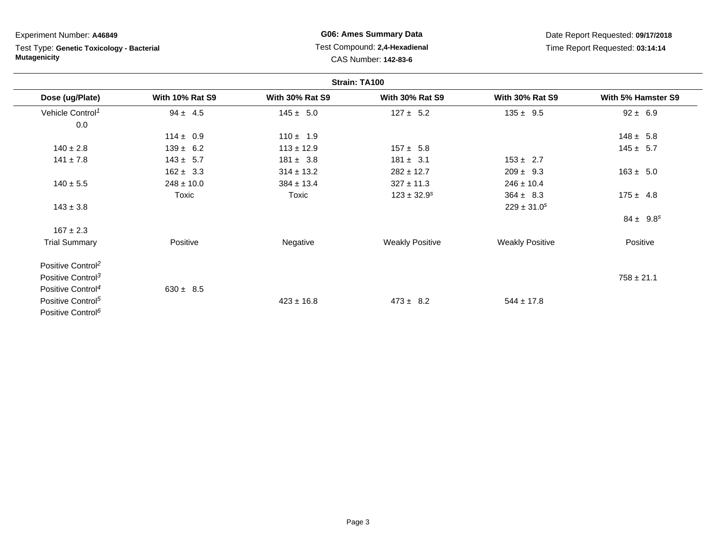Test Type: **Genetic Toxicology - Bacterial Mutagenicity**

## **G06: Ames Summary Data** Test Compound: **2,4-Hexadienal** CAS Number: **142-83-6**

| Strain: TA100                 |                        |                        |                             |                        |                    |
|-------------------------------|------------------------|------------------------|-----------------------------|------------------------|--------------------|
| Dose (ug/Plate)               | <b>With 10% Rat S9</b> | <b>With 30% Rat S9</b> | <b>With 30% Rat S9</b>      | <b>With 30% Rat S9</b> | With 5% Hamster S9 |
| Vehicle Control <sup>1</sup>  | $94 \pm 4.5$           | $145 \pm 5.0$          | $127 \pm 5.2$               | $135 \pm 9.5$          | $92 \pm 6.9$       |
| 0.0                           |                        |                        |                             |                        |                    |
|                               | $114 \pm 0.9$          | $110 \pm 1.9$          |                             |                        | $148 \pm 5.8$      |
| $140 \pm 2.8$                 | $139 \pm 6.2$          | $113 \pm 12.9$         | $157 \pm 5.8$               |                        | $145 \pm 5.7$      |
| $141 \pm 7.8$                 | $143 \pm 5.7$          | $181 \pm 3.8$          | $181 \pm 3.1$               | $153 \pm 2.7$          |                    |
|                               | $162 \pm 3.3$          | $314 \pm 13.2$         | $282 \pm 12.7$              | $209 \pm 9.3$          | $163 \pm 5.0$      |
| $140 \pm 5.5$                 | $248 \pm 10.0$         | $384 \pm 13.4$         | $327 \pm 11.3$              | $246 \pm 10.4$         |                    |
|                               | Toxic                  | Toxic                  | $123 \pm 32.9$ <sup>s</sup> | $364 \pm 8.3$          | $175 \pm 4.8$      |
| $143 \pm 3.8$                 |                        |                        |                             | $229 \pm 31.0^s$       |                    |
|                               |                        |                        |                             |                        | $84 \pm 9.8^s$     |
| $167 \pm 2.3$                 |                        |                        |                             |                        |                    |
| <b>Trial Summary</b>          | Positive               | Negative               | <b>Weakly Positive</b>      | <b>Weakly Positive</b> | Positive           |
| Positive Control <sup>2</sup> |                        |                        |                             |                        |                    |
| Positive Control <sup>3</sup> |                        |                        |                             |                        | $758 \pm 21.1$     |
| Positive Control <sup>4</sup> | $630 \pm 8.5$          |                        |                             |                        |                    |
| Positive Control <sup>5</sup> |                        | $423 \pm 16.8$         | $473 \pm 8.2$               | $544 \pm 17.8$         |                    |
| Positive Control <sup>6</sup> |                        |                        |                             |                        |                    |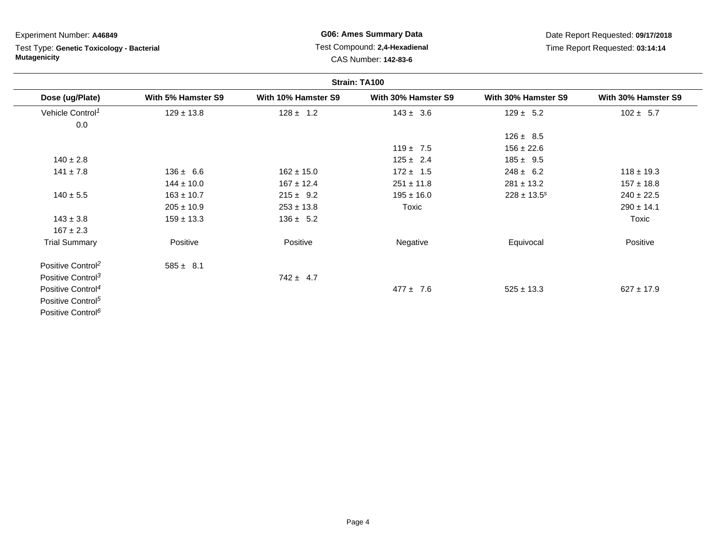# Test Type: **Genetic Toxicology - Bacterial Mutagenicity**

## **G06: Ames Summary Data** Test Compound: **2,4-Hexadienal** CAS Number: **142-83-6**

| Strain: TA100                 |                    |                     |                     |                     |                     |
|-------------------------------|--------------------|---------------------|---------------------|---------------------|---------------------|
| Dose (ug/Plate)               | With 5% Hamster S9 | With 10% Hamster S9 | With 30% Hamster S9 | With 30% Hamster S9 | With 30% Hamster S9 |
| Vehicle Control <sup>1</sup>  | $129 \pm 13.8$     | $128 \pm 1.2$       | $143 \pm 3.6$       | $129 \pm 5.2$       | $102 \pm 5.7$       |
| 0.0                           |                    |                     |                     |                     |                     |
|                               |                    |                     |                     | $126 \pm 8.5$       |                     |
|                               |                    |                     | $119 \pm 7.5$       | $156 \pm 22.6$      |                     |
| $140 \pm 2.8$                 |                    |                     | $125 \pm 2.4$       | $185 \pm 9.5$       |                     |
| $141 \pm 7.8$                 | $136 \pm 6.6$      | $162 \pm 15.0$      | $172 \pm 1.5$       | $248 \pm 6.2$       | $118 \pm 19.3$      |
|                               | $144 \pm 10.0$     | $167 \pm 12.4$      | $251 \pm 11.8$      | $281 \pm 13.2$      | $157 \pm 18.8$      |
| $140 \pm 5.5$                 | $163 \pm 10.7$     | $215 \pm 9.2$       | $195 \pm 16.0$      | $228 \pm 13.5^s$    | $240 \pm 22.5$      |
|                               | $205 \pm 10.9$     | $253 \pm 13.8$      | Toxic               |                     | $290 \pm 14.1$      |
| $143 \pm 3.8$                 | $159 \pm 13.3$     | $136 \pm 5.2$       |                     |                     | Toxic               |
| $167 \pm 2.3$                 |                    |                     |                     |                     |                     |
| <b>Trial Summary</b>          | Positive           | Positive            | Negative            | Equivocal           | Positive            |
| Positive Control <sup>2</sup> | $585 \pm 8.1$      |                     |                     |                     |                     |
| Positive Control <sup>3</sup> |                    | $742 \pm 4.7$       |                     |                     |                     |
| Positive Control <sup>4</sup> |                    |                     | $477 \pm 7.6$       | $525 \pm 13.3$      | $627 \pm 17.9$      |
| Positive Control <sup>5</sup> |                    |                     |                     |                     |                     |
| Positive Control <sup>6</sup> |                    |                     |                     |                     |                     |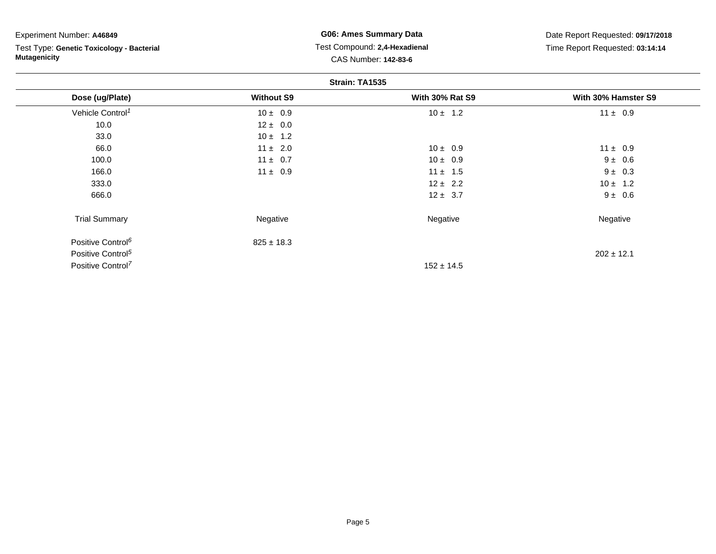Test Type: **Genetic Toxicology - Bacterial Mutagenicity**

**G06: Ames Summary Data** Test Compound: **2,4-Hexadienal** CAS Number: **142-83-6**

|                               | Strain: TA1535    |                        |                     |  |  |  |
|-------------------------------|-------------------|------------------------|---------------------|--|--|--|
| Dose (ug/Plate)               | <b>Without S9</b> | <b>With 30% Rat S9</b> | With 30% Hamster S9 |  |  |  |
| Vehicle Control <sup>1</sup>  | $10 \pm 0.9$      | $10 \pm 1.2$           | $11 \pm 0.9$        |  |  |  |
| 10.0                          | $12 \pm 0.0$      |                        |                     |  |  |  |
| 33.0                          | $10 \pm 1.2$      |                        |                     |  |  |  |
| 66.0                          | $11 \pm 2.0$      | $10 \pm 0.9$           | $11 \pm 0.9$        |  |  |  |
| 100.0                         | $11 \pm 0.7$      | $10 \pm 0.9$           | $9 \pm 0.6$         |  |  |  |
| 166.0                         | $11 \pm 0.9$      | $11 \pm 1.5$           | $9 \pm 0.3$         |  |  |  |
| 333.0                         |                   | $12 \pm 2.2$           | $10 \pm 1.2$        |  |  |  |
| 666.0                         |                   | $12 \pm 3.7$           | $9 \pm 0.6$         |  |  |  |
| <b>Trial Summary</b>          | Negative          | Negative               | Negative            |  |  |  |
| Positive Control <sup>6</sup> | $825 \pm 18.3$    |                        |                     |  |  |  |
| Positive Control <sup>5</sup> |                   |                        | $202 \pm 12.1$      |  |  |  |
| Positive Control <sup>7</sup> |                   | $152 \pm 14.5$         |                     |  |  |  |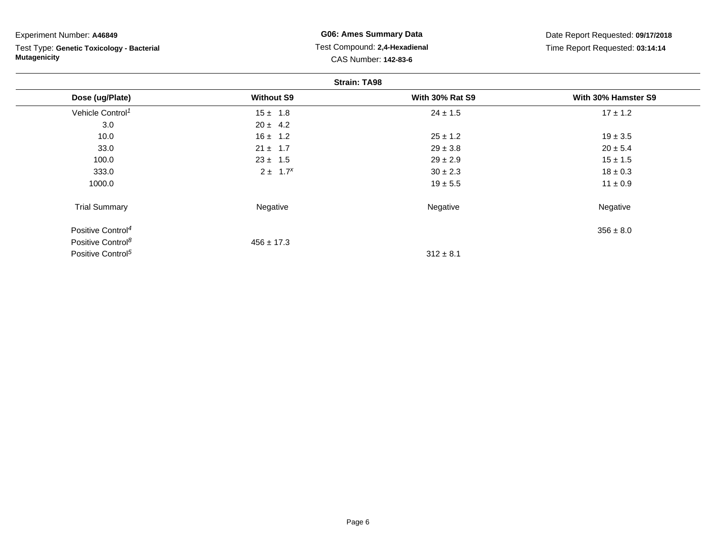Test Type: **Genetic Toxicology - Bacterial Mutagenicity**

**G06: Ames Summary Data** Test Compound: **2,4-Hexadienal** CAS Number: **142-83-6**

|                               | <b>Strain: TA98</b> |                        |                     |  |  |
|-------------------------------|---------------------|------------------------|---------------------|--|--|
| Dose (ug/Plate)               | <b>Without S9</b>   | <b>With 30% Rat S9</b> | With 30% Hamster S9 |  |  |
| Vehicle Control <sup>1</sup>  | $15 \pm 1.8$        | $24 \pm 1.5$           | $17 \pm 1.2$        |  |  |
| 3.0                           | $20 \pm 4.2$        |                        |                     |  |  |
| 10.0                          | $16 \pm 1.2$        | $25 \pm 1.2$           | $19 \pm 3.5$        |  |  |
| 33.0                          | $21 \pm 1.7$        | $29 \pm 3.8$           | $20 \pm 5.4$        |  |  |
| 100.0                         | $23 \pm 1.5$        | $29 \pm 2.9$           | $15 \pm 1.5$        |  |  |
| 333.0                         | $2 \pm 1.7^{x}$     | $30 \pm 2.3$           | $18 \pm 0.3$        |  |  |
| 1000.0                        |                     | $19 \pm 5.5$           | $11 \pm 0.9$        |  |  |
| <b>Trial Summary</b>          | Negative            | Negative               | Negative            |  |  |
| Positive Control <sup>4</sup> |                     |                        | $356 \pm 8.0$       |  |  |
| Positive Control <sup>8</sup> | $456 \pm 17.3$      |                        |                     |  |  |
| Positive Control <sup>5</sup> |                     | $312 \pm 8.1$          |                     |  |  |